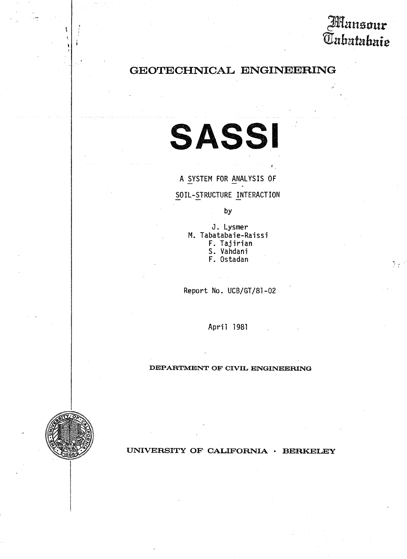# ansour *Unbatabaie*

# GEOTECHNICAL ENGINEERING



A SYSTEM FOR ANALYSIS OF SOIL-STRUCTURE INTERACTION

by

J. Lysmer M. Tabatabaie-Raissi F. Tajirian S. Vahdani F. Ostadan

Report No. UCB/GT/81-02

April 1981

### DEPARTMENT OF CIVIL ENGINEERING



UNIVERSITY OF CALIFORNIA • BERKELEY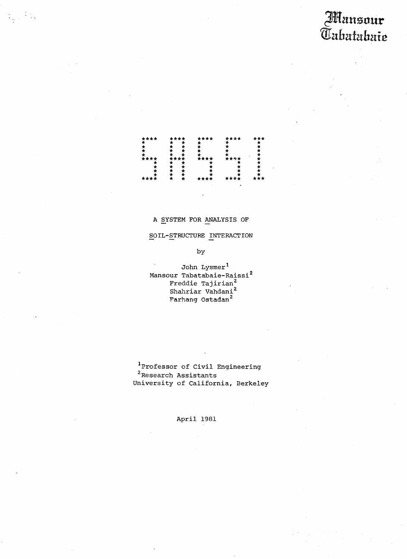Mansour **Tabatabaie** 



원리

## A SYSTEM FOR ANALYSIS OF

SOIL-STRUCTURE INTERACTION

by

John Lysmer<sup>1</sup> Mansour Tabatabaie-Raissi<sup>2</sup><br>Freddie Tajirian<sup>2</sup><br>Shahriar Vahdani<sup>2</sup> Farhang Ostadan<sup>2</sup>

<sup>1</sup>Professor of Civil Engineering <sup>2</sup> Research Assistants University of California, Berkeley

April 1981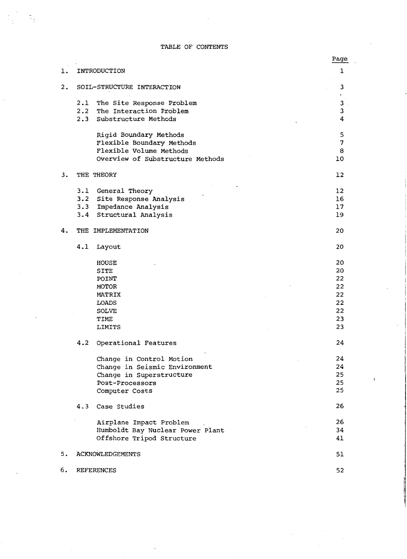TABLE OF CONTENTS

Page

i I

!

|    |                                  | $-$ ugu |
|----|----------------------------------|---------|
| ı. | INTRODUCTION                     | ı       |
| 2. | SOIL-STRUCTURE INTERACTION       | 3       |
|    |                                  |         |
|    | 2,1<br>The Site Response Problem | 3       |
|    | 2.2<br>The Interaction Problem   | 3       |
|    | 2.3 Substructure Methods         | 4       |
|    | Rigid Boundary Methods           | 5       |
|    | Flexible Boundary Methods        | 7       |
|    | Flexible Volume Methods          | 8       |
|    | Overview of Substructure Methods | 10      |
| 3. | THE THEORY                       | 12      |
|    | 3.1 General Theory               | 12      |
|    | 3.2<br>Site Response Analysis    | 16      |
|    | Impedance Analysis<br>3.3        | 17      |
|    | Structural Analysis<br>3.4       | 19      |
| 4. | THE IMPLEMENTATION               | 20      |
|    | 4.1<br>Layout                    | 20      |
|    | HOUSE                            | 20      |
|    | SITE                             | 20      |
|    | POINT                            | 22      |
|    | MOTOR                            | 22      |
|    | MATRIX                           | 22      |
|    | LOADS                            | 22      |
|    | <b>SOLVE</b>                     | 22      |
|    | TIME                             | 23      |
|    | LIMITS                           | 23      |
|    | 4.2<br>Operational Features      | 24      |
|    | Change in Control Motion         | 24      |
|    | Change in Seismic Environment    | 24      |
|    | Change in Superstructure         | 25      |
|    | Post-Processors                  | 25      |
|    | Computer Costs                   | 25      |
|    | 4.3<br>Case Studies              | 26      |
|    | Airplane Impact Problem          | 26      |
|    | Humboldt Bay Nuclear Power Plant | 34      |
|    | Offshore Tripod Structure        | 41      |
| 5. | <b>ACKNOWLEDGEMENTS</b>          | 51      |
| 6. | <b>REFERENCES</b>                | 52      |

 $\frac{\partial}{\partial x}$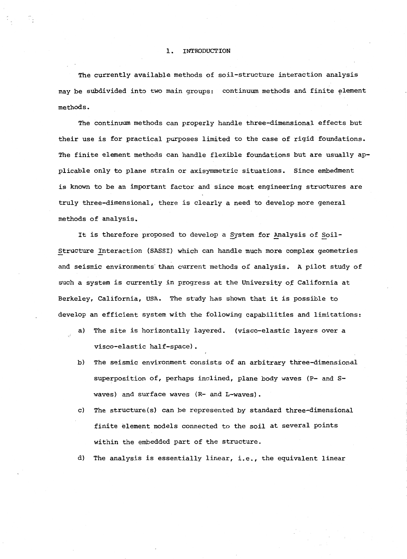### 1. INTRODUCTION

The currently available methods of soil-structure interaction analysis may be subdivided into two main groups: continuum methods and finite element methods.

The continuum methods can properly handle three-dimensional effects but their use *is* for practical purposes limited to the case of rigid foundations. The finite element methods can handle flexible foundations but are usually applicable only to plane strain or axisymmetric situations. Since embedment *is* known to be an important factor and since most engineering structures are truly three-dimensional, there is clearly a need to develop more general methods of analysis.

It is therefore proposed to develop a System for Analysis of Soil-Structure Interaction (SASSI) which can handle much more complex geometries and seismic environments than current methods of analysis. A pilot study of such a system *is* currently in progress at the University *of* California at Berkeley, California, USA. The study has shown that it *is* possible to develop an efficient system with the following capabilities and limitations:

- a) The site is horizontally layered. (visco-elastic layers over a visco-elastic half-space) •
- b) The seismic environment consists of an arbitrary three-dimensional superposition of, perhaps inclined, plane body waves  $(P-$  and  $S$ waves) and surface waves (R- and L-waves).
- c) The structure(s) can be represented by standard three-dimensional finite element models connected to the *soil* at several points within the embedded part of the structure.
- d) The analysis is essentially linear, i.e., the equivalent linear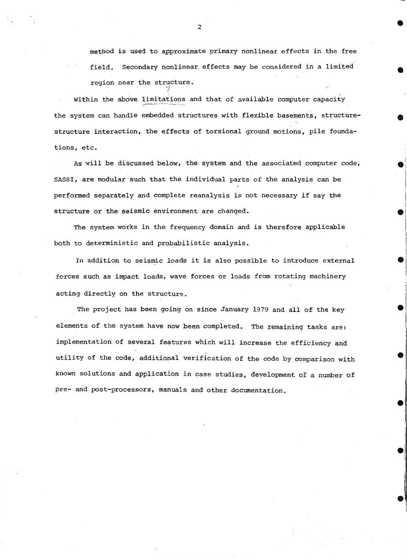method is used to approximate primary nonlinear effects in the free field. Secondary nonlinear effects may be considered in a limited region near the structure.

Within the above limitations and that of available computer capacity the system can handle embedded structures with flexible basements, structurestructure interaction, the effects of torsional ground motions, pile foundations, etc.

As will be discussed below, the system and the associated computer code, SASSI, are modular such that the individual parts of the analysis can be performed separately and complete reanalysis is not necessary if say the structure or the seismic environment are changed.

The system works in the frequency domain and is therefore applicable both to deterministic and probabilistic analysis.

In addition to seismic loads it is also possible to introduce external forces such as impact loads, wave forces or loads from rotating machinery acting directly on the structure.

The project has been going on since January 1979 and all of the key elements of the system have now been completed. The remaining tasks are: implementation of several features which will increase the efficiency and utility of the code, additional verification of the code by comparison with known solutions and application in case studies, development of a number of pre- and post-processors, manuals and other documentation.

 $\overline{2}$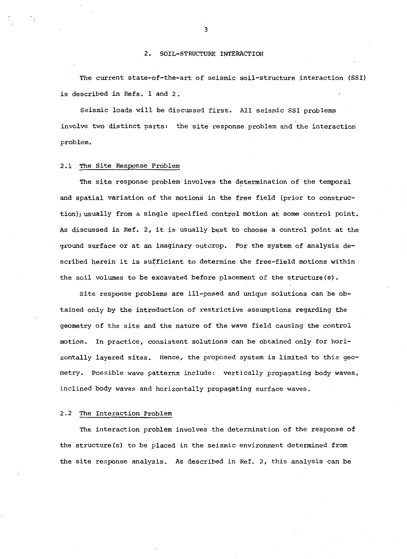### 2. SOIL-STRUCTURE INTERACTION

The current state-of-the-art of seismic soil-structure interaction (SSI) is described in Refs. 1 and 2 •

Seismic loads will be discussed first. All seismic SSI problems involve two distinct parts: the site response problem and the interaction problem.

### 2.1 The Site Response Problem

The site response problem involves the determination of the temporal and spatial variation of the motions in the free field (prior to construetion); usually from a single specified control motion at some control point. As discussed in Ref. 2, it is usually best to choose a control point at the ground surface or at an imaginary outcrop. For the system of analysis described herein it is sufficient to determine the free-field motions within the soil volumes to be excavated before placement of the structure(s).

Site response problems are ill-posed and unique solutions can be obtained only by the introduction of restrictive assumptions regarding the geometry of the site and the nature of the wave field causing the control motion. In practice, consistent solutions can be obtained only for hori zontally layered sites. Hence, the proposed system is limited to this geometry. Possible wave patterns include: vertically propagating body waves, inclined body waves and horizontally propagating surface waves.

### 2.2 The Interaction Problem

The interaction problem involves the determination of the response of the structure(s) to be placed in the seismic environment determined from the site response analysis. As described in Ref. 2, this analysis can be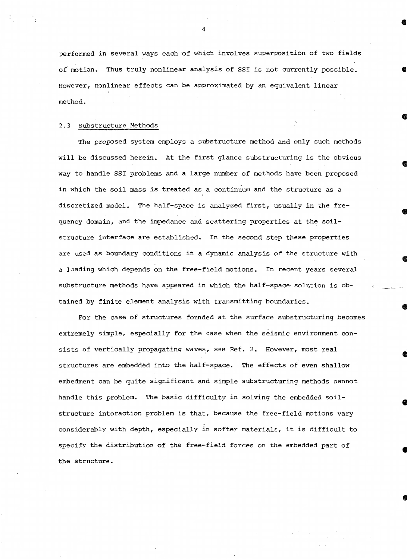performed in several ways each of which involves superposition of two fields of motion. Thus truly nonlinear analysis of SSI is not currently possible. However, nonlinear effects can be approximated by an equivalent linear method.

### 2.3 Substructure Methods

The proposed system employs a substructure method and only such methods will be discussed herein. At the first glance substructuring is the obvious way to handle SSI problems and a large number of methods have been proposed in which the soil mass is treated as a continuum and the structure as a discretized model. The half-space is analyzed first, usually in the frequency domain, and the impedance and scattering properties at the soilstructure interface are established. In the second step these properties are used as boundary conditions in a dynamic analysis of the structure with a loading which depends on the free-field motions. In recent years several substructure methods have appeared in which the half-space solution is obtained by finite element analysis with transmitting boundaries.

For the case of structures founded at the surface substructuring becomes extremely simple, especially for the case when the seismic environment consists of vertically propagating waves, see Ref. 2. However, most real structures are embedded into the half-space. The effects of even shallow embedment can be quite significant and simple substructuring methods cannot handle this problem. The basic difficulty in solving the embedded soilstructure interaction problem is that, because the free-field motions vary considerably with depth, especially in softer materials, it is difficult to specify the distribution of the free-field forces on the embedded part of the structure.

**•** 

**e** 

**•**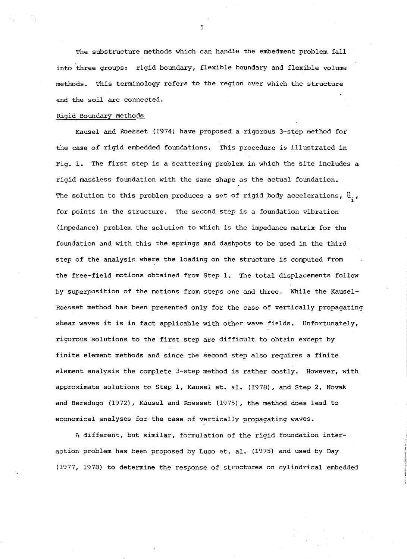The substructure methods which can handle the embedment problem fall into three groups: rigid boundary, flexible boundary and flexible volume methods. This terminology refers to the region over which the structure and the soil are connected.

### Rigid Boundary Methods

Kausel and Roesset (1974) have proposed a rigorous 3-step method for the case of rigid embedded foundations. This procedure is illustrated in Fig. 1. The first step is a scattering problem in which the site includes a rigid massless foundation with the same shape as the actual foundation. The solution to this problem produces a set of rigid body accelerations,  $\ddot{\textbf{u}}_{\textbf{i}}$ , for points in the structure. The second step is a foundation vibration (impedance) problem the solution to which is the impedance matrix for the foundation and with this the springs and dashpots to be used in the third step of the analysis where the loading on the structure is computed from the free-field motions obtained from Step 1. The total displacements follow by superposition of the motions from steps one and three. While the Kausel-Roesset method has been presented only for the case of vertically propagating shear waves it is in fact applicable with other wave fields. Unfortunately, rigorous solutions to the first step are difficult to obtain except by finite element methods and since the second step also requires a finite element analysis the complete 3-step method is rather costly. However, with approximate solutions to Step 1, Kausel et. al. (1978), and Step 2, Novak and Beredugo (1972) , Kausel and Roesset (1975) , the method does lead to economical analyses for the case of vertically propagating waves.

A different, but similar, formulation of the rigid foundation interaction problem has been proposed by Luco et. al. (1975) and used by Day (1977, 1978) to determine the response of structures on cylindrical embedded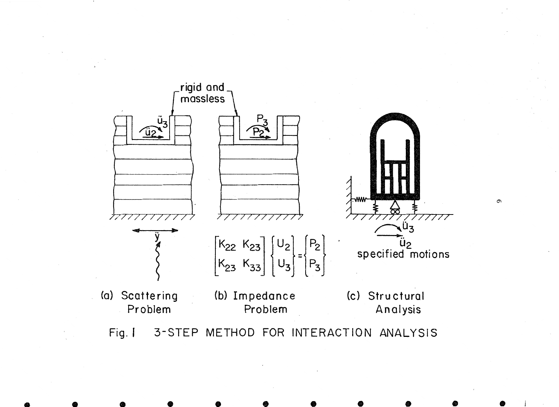

Fig. | 3-STEP METHOD FOR INTERACTION ANALYSIS

• • • • • • •

 $\bullet$   $\bullet$ 

 $\sigma$ 

• •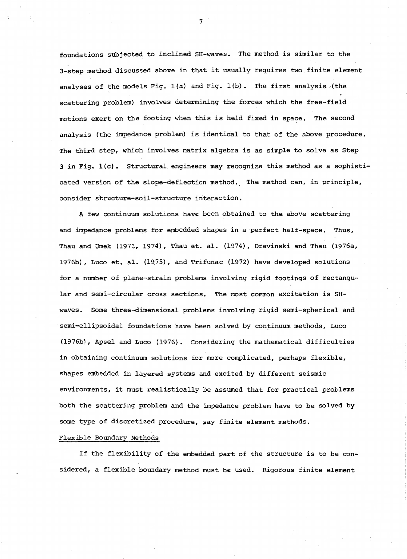foundations subjected to inclined SH-waves. The method is similar to the 3-step method discussed above in that it usually requires two finite element analyses of the models Fig.  $1(a)$  and Fig.  $1(b)$ . The first analysis (the scattering problem} involves determining the forces which the free-field motions exert on the footing when this is held fixed in space. The second analysis (the impedance problem) is identical to that of the above procedure. The third step, which involves matrix algebra is as simple to solve as Step 3 in Fig. l(c). Structural engineers may recognize this method as a sophisticated version of the slope-deflection method. The method can, in principle, consider structure-soil-structure interaction.

A few continuum solutions have been obtained to the above scattering and impedance problems for embedded shapes in a perfect half-space. Thus, Thau and Umek (1973, 1974), Thau et. al. (1974}, Dravinski and Thau (1976a, 1976b}, Luco et. al. (19.75}, and Trifunac (1972) have developed solutions for a number of plane-strain problems involving rigid footings of rectangular and semi-circular cross sections. The most common excitation is SHwaves. Some three-dimensional problems involving rigid semi-spherical and semi-ellipsoidal foundations have been solved by continuum methods, Luco (1976b), Apsel and Luco (1976). Considering the mathematical difficulties in obtaining continuum solutions for more complicated, perhaps flexible, shapes embedded in layered systems and excited by different seismic environments, it must realistically be assumed that for practical problems both the scattering problem and the impedance problem have to be solved by some type of discretized procedure, say finite element methods.

### Flexible Boundary Methods

If the flexibility of the embedded part of the structure is to be considered, a flexible boundary method must be used. Rigorous finite element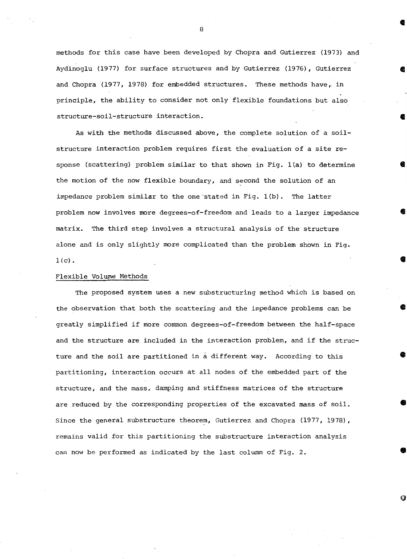methods for this case have been developed by Chopra and Gutierrez (1973) and Aydinoglu (1977) for surface structures and by Gutierrez (1976), Gutierrez and Chopra (1977, 1978) for embedded structures. These methods have, in principle, the ability to consider not only flexible foundations but also structure-soil-structure interaction.

As with the methods discussed above, the complete solution of a soilstructure interaction problem requires first the evaluation of a site response (scattering) problem similar to that shown in Fig. l(a) to determine the motion of the now flexible boundary, and second the solution of an impedance problem similar to the one 'stated in Fig. l(b). The latter problem now involves more degrees-of-freedom and leads to a larger impedance matrix. The third step involves a structural analysis of the structure alone and is only slightly more complicated than the problem shown in Fig.  $l(c)$ .

### Flexible Volume Methods

The proposed system uses a new substructuring method which is based on the observation that both the scattering and the impedance problems can be greatly simplified if more common degrees-of-freedom between the half-space and the structure are included in the interaction problem, and if the structure and the soil are partitioned in a different way. According to this partitioning, interaction occurs at all nodes of the embedded part of the structure, and the mass, damping and stiffness matrices of the structure are reduced by the corresponding properties of the excavated mass of soil. Since the general substructure theorem, Gutierrez and Chopra (1977, 1978), remains valid for this partitioning the substructure interaction analysis can now be performed as indicated by the last column of Fig. 2.

8

**e** 

**•** 

**e** 

**1** 

**•** 

•

**e**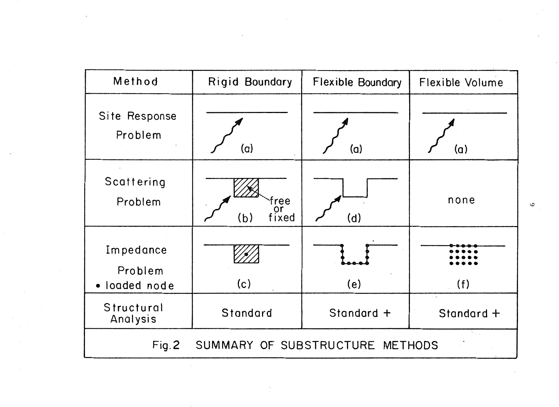| Method                                    | <b>Rigid Boundary</b>      | <b>Flexible Boundary</b> | <b>Flexible Volume</b> |  |  |  |
|-------------------------------------------|----------------------------|--------------------------|------------------------|--|--|--|
| Site Response<br>Problem                  | (a)                        | (a)                      | (a)                    |  |  |  |
| Scattering<br>Problem                     | free<br>or<br>fixed<br>(b) | (d)                      | none                   |  |  |  |
| Impedance<br>Problem<br>· loaded node     | (c)                        | (e)                      | (f)                    |  |  |  |
| Structural<br>Analysis                    | <b>Standard</b>            | Standard +               | Standard +             |  |  |  |
| SUMMARY OF SUBSTRUCTURE METHODS<br>Fig. 2 |                            |                          |                        |  |  |  |

 $\frac{\lambda}{\lambda}$ 

 $\label{eq:2.1} \mathcal{L}(\mathcal{L}^{\text{max}}_{\text{max}}(\mathcal{L}^{\text{max}}_{\text{max}}(\mathcal{L}^{\text{max}}_{\text{max}}(\mathcal{L}^{\text{max}}_{\text{max}})))$ 

 $\mathcal{L}^{(1)}$ 

 $\frac{1}{\sqrt{2}}$ 

 $\sim$ 

1.0

 $\sim$   $\epsilon$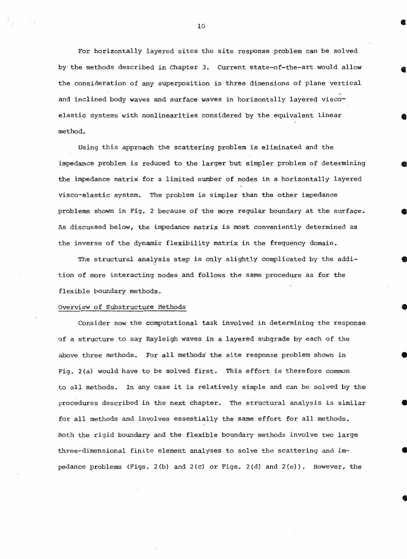For horizontally layered sites the site response problem can be solved by the methods described in Chapter 3. Current state-of-the-art would allow the consideration of any superposition in three dimensions of plane vertical and inclined body waves and surface waves in horizontally layered viscoelastic systems with nonlinearities considered by the equivalent linear method.

**•** 

•

**•** 

**•** 

**e** 

**•** 

**•** 

•

**•** 

Using this approach the scattering problem is eliminated and the impedance problem is reduced to the larger but simpler problem of determining the impedance matrix for a limited number of nodes in a horizontally layered visco-elastic system. The problem is simpler than the other impedance problems shown in Fig. 2 because of the more regular boundary at the surface. As discussed below, the impedance matrix is most conveniently determined as the inverse of the dynamic flexibility matrix in the frequency domain.

The structural analysis step is only slightly complicated by the addition of more interacting nodes and follows the same procedure as for the flexible boundary methods.

### Overview of Substructure Methods

Consider now the computational task involved in determining the response of a structure to say Rayleigh waves in a layered subgrade by each of the above three methods. For all methods the site response problem shown in Fig. 2(a) would have to be solved first. This effort is therefore common to all methods. In any case it is relatively simple and can be solved by the procedures described in the next chapter. The structural analysis is similar for all methods and involves essentially the same effort for all methods. Both the rigid boundary and the flexible boundary methods involve two large three-dimensional finite element analyses to solve the scattering and impedance problems (Figs. 2(b) and 2(c) or Figs. 2(d) and 2(e)). However, the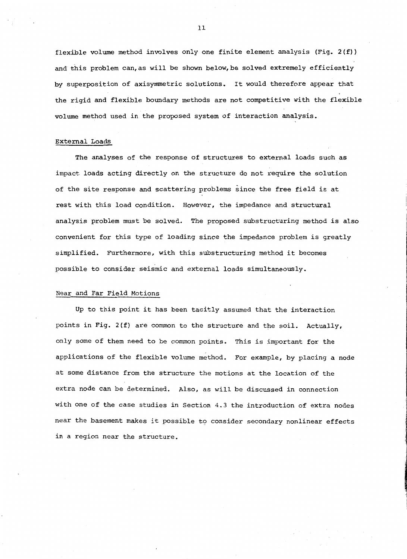flexible volume method involves only one finite element analysis (Fig. 2(f)) and this problem can, as will be shown below, be solved extremely efficiently by superposition of axisymmetric solutions. It would therefore appear that the rigid and flexible boundary methods are not competitive with the flexible volume method used in the proposed system of interaction analysis.

### External Loads

The analyses of the response of structures to external loads such as impact loads acting directly on the structure do not require the solution of the site response and scattering problems since the free field *is* at rest with this load condition. However, the impedance and structural analysis problem must be solved. The proposed substructuring method *is* also convenient for this type of loading since the impedance problem is greatly simplified. Furthermore, with this substructuring method it becomes possible to consider seismic and external loads simultaneously.

### Near and Far Field Motions

Up to this point it has been tacitly assumed that the interaction points in Fig. 2(f) are common to the structure and the soil. Actually, only some of them need to be common points. This is important for the applications of the flexible volume method. For example, by placing a node at some distance from the structure the motions at the location of the extra node can be determined. Also, as will be discussed in connection with one of the case studies in Section 4.3 the introduction of extra nodes near the basement makes it possible to consider secondary nonlinear effects in a region near the structure.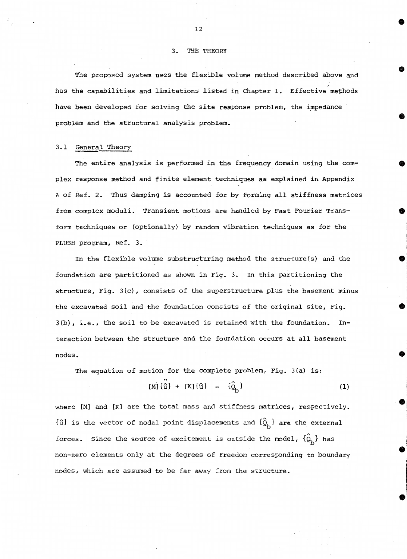### 3. THE THEORY

The proposed system uses the flexible volume method described above and has the capabilities and limitations listed in Chapter 1. Effective methods have been developed for solving the site response problem, the impedance problem and the structural analysis problem. •

### 3.1 General Theory

The entire analysis is performed in the frequency domain using the complex response method and finite element techniques as explained in Appendix A of Ref. 2. Thus damping is accounted for by forming all stiffness matrices from complex moduli. Transient motions are handled by Fast Fourier Trans- • form techniques or (optionally) by random vibration techniques as for the PLUSH program, Ref. 3.

In the flexible volume substructuring method the structure(s) and the • foundation are partitioned as shown in Fig. 3. In this partitioning the structure, Fig.  $3(c)$ , consists of the superstructure plus the basement minus the excavated soil and the foundation consists of the original site, Fig. 3(b), i.e., the soil to be excavated is retained with the foundation. Interaction between the structure and the foundation occurs at all basement nodes. **Executive Section 2** and 2 and 2 and 2 and 2 and 2 and 2 and 2 and 2 and 2 and 2 and 2 and 2 and 2 and 2

The equation of motion for the complete problem, Fig. 3(a) is:

$$
[M] {\hat{\mathfrak{a}}} + [K] {\hat{\mathfrak{a}}} = {\hat{\mathfrak{Q}}}_b
$$
 (1)

**•** 

••

**•** 

where [M] and [K] are the total mass and stiffness matrices, respectively.  ${\hat{q}}$  is the vector of nodal point displacements and  ${\hat{Q}}_b$  are the external forces. Since the source of excitement is outside the model,  $\{\hat{Q}_{\mathbf{k}}\}$  has non-zero elements only at the degrees of freedom corresponding to boundary nodes, which are assumed to be far away from the structure.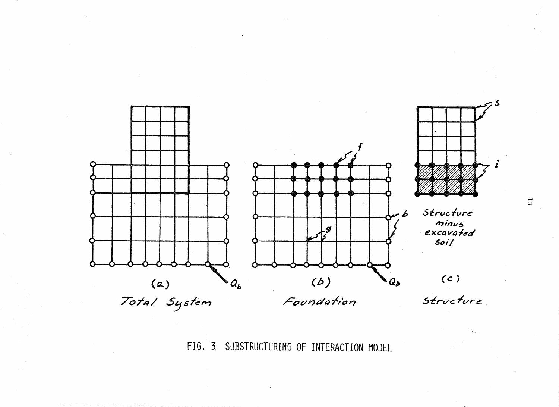

FIG. 3 SUBSTRUCTURING OF INTERACTION MODEL

 $\frac{1}{3}$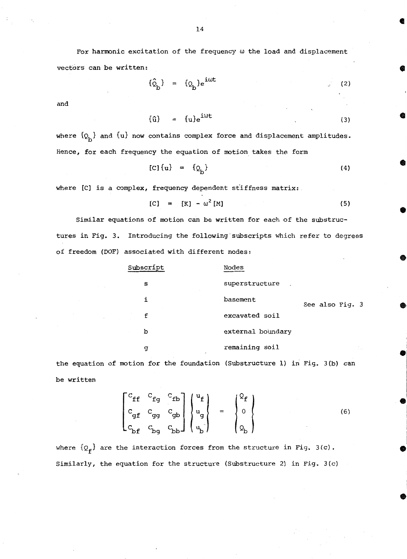For harmonic excitation of the frequency  $\omega$  the load and displacement vectors can be written:

$$
\hat{Q}_{\mathbf{b}}^{\dagger} = \{ Q_{\mathbf{b}}^{\dagger} \mathbf{b} e^{\mathbf{i}\omega t} \tag{2}
$$

and

 $\hat{u} = \{u\}e^{i\omega t}$  (3)

**e** 

**•** 

•

**•** 

 $\bullet$ 

I

 $\bullet$ **In 17th Accounts Ave** I

**International Properties** 

In the company of the contract of the contract of

el

 $\bullet$ 

where  $\{Q_{\mathbf{b}}\}$  and  $\{u\}$  now contains complex force and displacement amplitudes. Hence, for each frequency the equation of motion takes the form

$$
[C] \{u\} = \{Q_h\} \tag{4}
$$

where [C] is a complex, frequency dependent stiffness matrix:

[C] = 
$$
[K] - \omega^2 [M]
$$
 (5)

Similar equations of motion can be written for each of the substructures in Fig. 3. Introducing the following·subscripts which refer to degrees of freedom (DOF) associated with different nodes:

| Subscript | Nodes             |                 |  |
|-----------|-------------------|-----------------|--|
| s         | superstructure    |                 |  |
| i         | basement          | See also Fig. 3 |  |
| f         | excavated soil    |                 |  |
| b         | external boundary |                 |  |
| g         | remaining soil    |                 |  |

the equation of motion for the foundation (Substructure 1) in Fig. 3 (b) can be written

$$
\begin{bmatrix} c_{\mathbf{f} \mathbf{f}} & c_{\mathbf{f} \mathbf{g}} & c_{\mathbf{f} \mathbf{b}} \\ c_{\mathbf{g} \mathbf{f}} & c_{\mathbf{g} \mathbf{g}} & c_{\mathbf{g} \mathbf{b}} \\ c_{\mathbf{b} \mathbf{f}} & c_{\mathbf{b} \mathbf{g}} & c_{\mathbf{b} \mathbf{b}} \end{bmatrix} \begin{bmatrix} u_{\mathbf{f}} \\ u_{\mathbf{g}} \\ u_{\mathbf{b}} \end{bmatrix} = \begin{bmatrix} 2_{\mathbf{f}} \\ 0 \\ 0 \\ 0 \end{bmatrix}
$$
 (6)

where  $\{Q_f\}$  are the interaction forces from the structure in Fig. 3(c). Similarly, the equation for the structure (Substructure 2) in Fig. 3(c)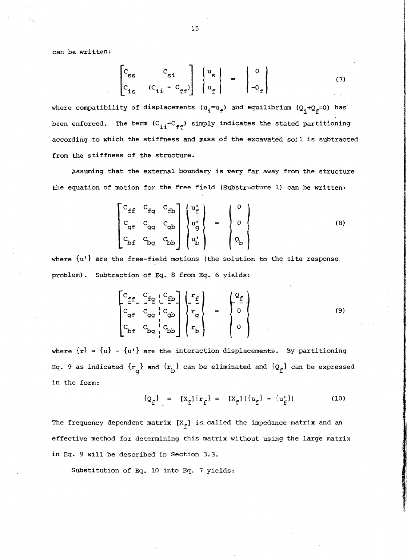can be written:

$$
\begin{bmatrix} c_{ss} & c_{si} \\ c_{is} & (c_{ii} - c_{ff}) \end{bmatrix} \begin{bmatrix} u_s \\ u_f \end{bmatrix} = \begin{bmatrix} 0 \\ -Q_f \end{bmatrix}
$$
 (7)

where compatibility of displacements  $(u_i=u_f)$  and equilibrium  $(Q_i+Q_f=0)$  has been enforced. The term  $(C_{ii}-C_{ff})$  simply indicates the stated partitioning according to which the stiffness and mass of the excavated soil is subtracted from the stiffness of the structure.

Assuming that the external boundary is very far away from the structure the equation of motion for the free field (Substructure 1) can be written:

$$
\begin{bmatrix} C_{\mathbf{f} \mathbf{f}} & C_{\mathbf{f} g} & C_{\mathbf{f} b} \\ C_{\mathbf{g} \mathbf{f}} & C_{\mathbf{g} g} & C_{\mathbf{g} b} \\ C_{\mathbf{b} \mathbf{f}} & C_{\mathbf{b} g} & C_{\mathbf{b} b} \end{bmatrix} \begin{bmatrix} u_{\mathbf{f}}^{i} \\ u_{g}^{i} \\ u_{g}^{i} \\ u_{b}^{i} \end{bmatrix} = \begin{bmatrix} 0 \\ 0 \\ 0 \\ 0 \\ 0 \end{bmatrix} \tag{8}
$$

where  $\{u^{\dagger}\}$  are the free-field motions (the solution to the site response. problem). Subtraction of Eq. 8 from Eq. 6 yields:

$$
\begin{bmatrix}\nC_{\underline{f}f} & C_{\underline{f}g} & C_{\underline{f}g} \\
C_{\underline{g}f} & C_{\underline{g}g} & C_{\underline{g}b} \\
C_{\underline{h}f} & C_{\underline{h}g} & C_{\underline{h}b}\n\end{bmatrix}\n\begin{bmatrix}\nr_g \\
r_g \\
r_g\n\end{bmatrix} = \n\begin{bmatrix}\nQ_{\underline{f}} \\
0 \\
0 \\
0\n\end{bmatrix}
$$
\n(9)

where  $\{r\} = \{u\} - \{u\}$  are the interaction displacements. By partitioning Eq. 9 as indicated  $\{r_q\}$  and  $\{r_b\}$  can be eliminated and  $\{Q_f\}$  can be expressed in the form:

$$
\{Q_f\} = [X_f] \{r_f\} = [X_f] (\{u_f\} - \{u'_f\})
$$
 (10)

'\

The frequency dependent matrix  $[X_f]$  is called the impedance matrix and an effective method for determining this matrix without using the large matrix in Eq. 9 will be described in Section 3.3.

Substitution of Eq. 10 into Eq. 7 yields: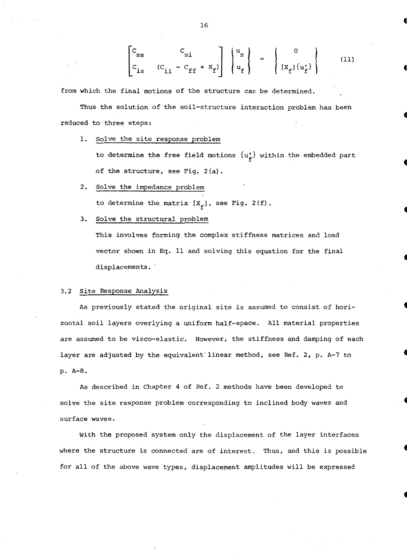$$
\begin{bmatrix} c_{ss} & c_{si} \\ c_{is} & (c_{ii} - c_{ff} + x_f) \end{bmatrix} \begin{bmatrix} u_s \\ u_f \end{bmatrix} = \begin{bmatrix} 0 \\ [x_f] \{u_f\} \end{bmatrix}
$$
 (11)

from which the final motions of the structure can be determined.

Thus the solution of the soil-structure interaction problem has been reduced to three steps:

1. Solve the site response problem

to determine the free field motions  $\{u^{\prime}_{\mathbf{f}}\}$  within the embedded part of the structure, see Fig. 2(a).

- 2. Solve the impedance problem to determine the matrix  $[X_f]$ , see Fig. 2(f).
- 3. Solve the structural problem

This involves forming the complex stiffness matrices and load vector shown in Eq. 11 and solving this equation for the final displacements.

### 3.2 Site Response Analysis

As previously stated the original site is assumed to consist of horizontal soil layers overlying a uniform half-space. All material properties are assumed to be visco-elastic. However, the stiffness and damping of each layer are adjusted by the equivalent' linear method, see Ref. 2, p. A-7 to p. A-8.

As described in Chapter 4 of Ref. 2 methods have been developed to solve the site response problem corresponding to inclined body waves and surface waves.

With the proposed system only the displacement of the layer interfaces where the structure is connected are of interest. Thus, and this is possible for all of the above wave types, displacement amplitudes will be expressed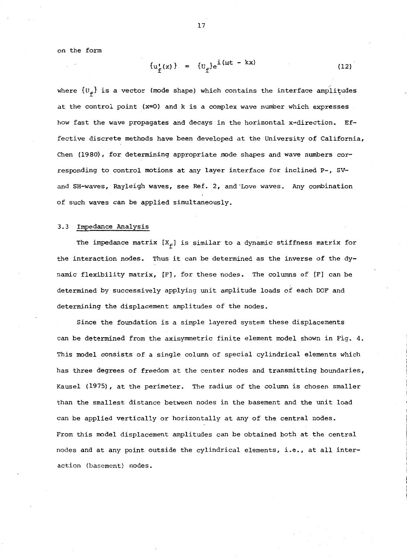on the form

$$
\{u_f^*(x)\} = \{u_f\}e^{\dot{1}(\omega t - kx)}
$$
 (12)

where  $\{U_f\}$  is a vector (mode shape) which contains the interface amplitudes at the control point  $(x=0)$  and k is a complex wave number which expresses how fast the wave propagates and decays in the horizontal x-direction. Effective discrete methods have been developed at the University of California, Chen (1980), for determining appropriate mode shapes and wave numbers corresponding to control motions at any layer interface for inclined P-, svand SH-waves, Rayleigh waves, see Ref. 2, and'Love waves. Any combination of such waves can be applied simultaneously.

### 3.3 Impedance Analysis

The impedance matrix  $[X_f]$  is similar to a dynamic stiffness matrix for the interaction nodes. Thus it can be determined as the inverse of the dynamic flexibility matrix, [F), for these nodes. The columns of [F) can be determined by successively applying unit amplitude loads of each DOF and determining the displacement amplitudes of the nodes.

Since the foundation is a simple layered system these displacements can be determined from the axisymmetric finite element model shown in Fig. 4. This model consists of a single column of special cylindrical elements which has three degrees of freedom at the center nodes and transmitting boundaries, Kausel (1975), at the perimeter. The radius of the column is chosen smaller than the smallest distance between nodes in the basement and the unit load can be applied vertically or horizontally at any of the central nodes. From this model displacement amplitudes can be obtained both at the central nodes and at any point outside the cylindrical elements, i.e., at all interaction (basement) nodes.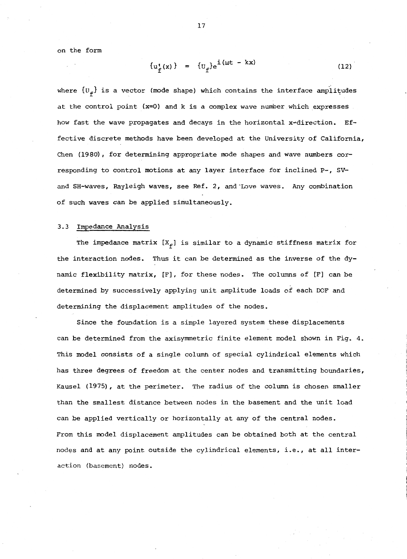on the form

$$
\{u_{f}^{\prime}(x)\} = \{u_{f}\}e^{\text{i}(\omega t - kx)}
$$
 (12)

where  $\{U_f\}$  is a vector (mode shape) which contains the interface amplitudes at the control point (x=O) and k *is* a complex wave number which expresses how fast the wave propagates and decays in the horizontal x~direction. Effective discrete methods have been developed at the University of California, Chen (1980), for determining appropriate mode shapes and wave numbers corresponding to control motions at any layer interface for inclined P-, svand SH-waves, Rayleigh waves, see Ref. 2, and'Love waves. Any combination of such waves can be applied simultaneously.

### 3.3 Impedance Analysis

The impedance matrix  $[X_{\epsilon}]$  is similar to a dynamic stiffness matrix for the interaction nodes. Thus it can be determined as the inverse of the dynamic flexibility matrix, [F), for these nodes. The columns of [F] can be determined by successively applying unit amplitude loads of each DOF and determining the displacement amplitudes of the nodes.

Since the foundation is a simple layered system these displacements can be determined from the axisymmetric finite element model shown in Fig. 4. This model consists of a single column of special cylindrical elements which has three degrees of freedom at the center nodes and transmitting boundaries, Kausel (1975), at the perimeter. The radius of the column is chosen smaller than the smallest distance between nodes in the basement and the unit load can be applied vertically or horizontally at any of the central nodes. From this model displacement amplitudes can be obtained both at the central nodes and at any point outside the cylindrical elements, i.e., at all interaction (basement) nodes.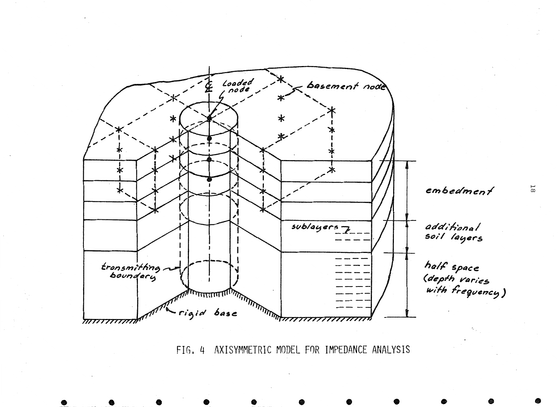

AXISYMMETRIC MODEL FOR IMPEDANCE ANALYSIS FIG. 4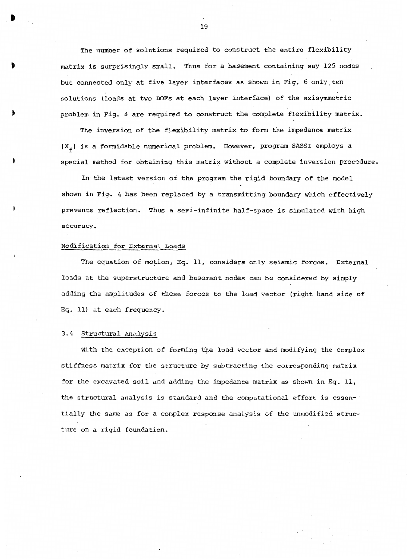The number of solutions required to construct the entire flexibility matrix is surprisingly small. Thus for a basement containing say 125 nodes but connected only at five layer interfaces as shown in Fig.  $6$  only, ten solutions (loads at two DOFs at each layer interface) of the axisymmetric problem in Fig. 4 are required to construct the complete flexibility matrix.

The inversion of the flexibility matrix to form the impedance matrix  $[X_{\epsilon}]$  is a formidable numerical problem. However, program SASSI employs a special method for obtaining this matrix without a complete inversion procedure.

In the latest version of the program the rigid boundary of the model shown in Fig. 4 has been replaced by a transmitting boundary which effectively prevents reflection. Thus a semi-infinite half-space *is* simulated with high accuracy.

### Modification for External Loads

The equation of motion, Eq. 11, considers only seismic forces. External l'oads at the superstructure and basement nodes can be considered by simply adding the amplitudes of these forces to the load vector (right hand side of Eq. 11) at each frequency.

### 3.4 Structural Analysis

With the exception of forming the load vector and modifying the complex stiffness matrix for the structure by subtracting the corresponding matrix for the excavated soil and adding the impedance matrix as shown in Eq. 11, the structural analysis is standard and the computational effort is essentially the same as for a complex response analysis of the unmodified structure on a rigid foundation.

 $\blacksquare$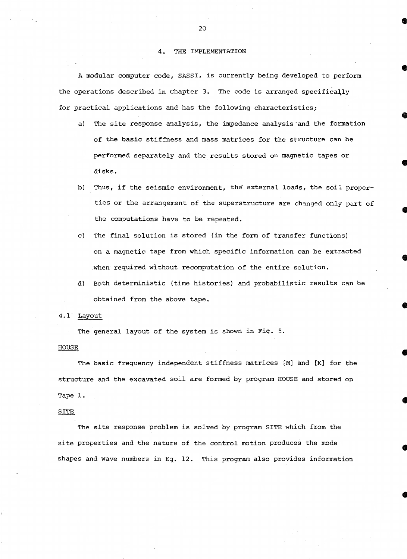### 4. THE IMPLEMENTATION

A modular computer code, SASSI, is currently being developed to perform the operations described in Chapter 3. The code is arranged specifically for practical applications and has the following characteristics,:

- a) The site response analysis, the impedance analysis'and the formation of the basic stiffness and mass matrices for the structure can be performed separately and the results stored on magnetic tapes or endisks.<br>disks.
- b) Thus, if the seismic environment, the external loads, the soil properties or the arrangement of the superstructure are changed only part of<br>the computations have to be repeated.
- c) The final solution is stored (in the form of transfer functions) on a magnetic tape from which specific information can be extracted  $\bullet$
- d) Both deterministic (time histories) and probabilistic results can be obtained from the above tape. obtained from the above tape.<br>
4.1 Layout

The general layout of the system is shown in Fig. 5.

HOUSE • The basic frequency independen·t stiffness matrices [M] and [K] for the structure and the excavated soil are formed by program HOUSE and stored on Tape 1.<br>SITE

The site response problem is solved by program SITE which from the site properties and the nature of the control motion produces the mode<br>
shapes and wave numbers in Eq. 12. This program also provides information

•

 $20 \text{ }$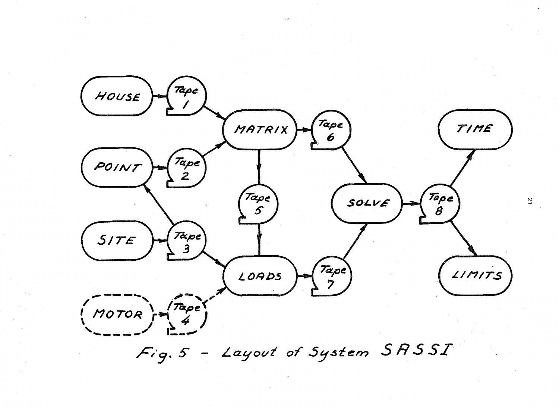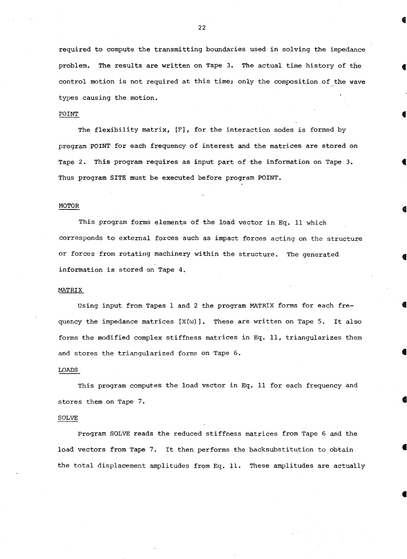required to compute the transmitting boundaries used in solving the impedance problem. The results are written on Tape 3. The actual time history of the control motion is not required at this time; only the composition of the wave types causing the motion.

### POINT

The flexibility matrix, [F], for the interaction nodes is formed by program POINT for each frequency of interest and the matrices are stored on Tape 2. This program requires as input part of the information on Tape 3. Thus program SITE must be executed before program POINT.

### MOTOR

This program forms elements of the load vector in Eq. 11 which corresponds to external forces such as impact forces acting on the structure or forces from rotating machinery within the structure. The generated information is stored on Tape 4.

### MATRIX

Using input from Tapes 1 and 2 the program MATRIX forms for each fre~ quency the impedance matrices  $[X(\omega)]$ . These are written on Tape 5. It also forms the modified complex stiffness matrices in Eq. 11, triangularizes them and stores the triangularized forms on Tape 6. •

### LOADS

This program computes the load vector in Eq. 11 for each frequency and stores them on Tape 7.

### SOLVE

Program SOLVE reads the reduced stiffness matrices from Tape 6 and the load vectors from Tape 7. It then performs the backsubstitution to obtain the total displacement amplitudes from Eq. 11. These amplitudes are actually

•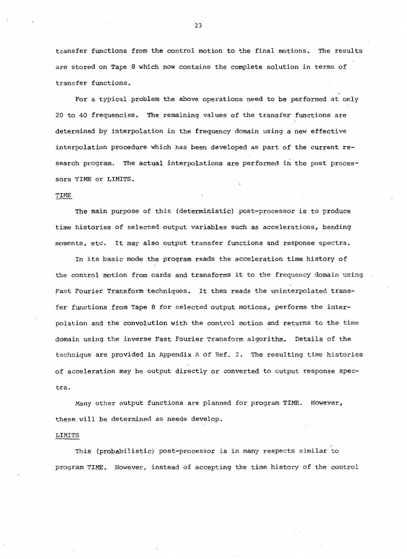transfer functions from the control motion to the final motions. The results are stored on Tape 8 which now contains the complete solution in terms of transfer functions.

For a typical problem the above operations need to be performed at only 20 to 40 frequencies. The remaining values of the transfer functions are determined by interpolation in the frequency domain using a new effective interpolation procedure which has been developed as part of the current research program. The actual interpolations are performed in the post processors TIME or LIMITS.

### TIME

The main purpose of this (deterministic) post-processor is to produce time histories of selected output variables such as accelerations, bending moments, etc. It may also output transfer functions and response spectra.

In its basic mode the program reads the acceleration time history of the control motion from cards and transforms it to the frequency domain using Fast Fourier Transform techniques. It then reads the uninterpolated transfer functions from Tape 8 for selected output motions, performs the interpolation and the convolution with the control motion and returns to the time domain using the inverse Fast Fourier Transform algorithm. Details of the technique are provided in Appendix A of Ref. 2. The resulting time histories of acceleration may be output directly or converted to output response spectra.

Many other output functions are planned for program TIME. However, these. will be determined as needs develop.

### LIMITS

This (probabilistic) post-processor is in many respects similar to program TIME. However, instead of accepting the time history of the control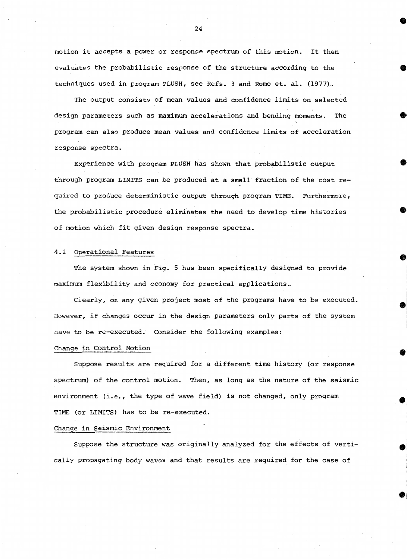motion it accepts a power or response spectrum of this motion. It then evaluates the probabilistic response of the structure according to the techniques used in program PLUSH, see Refs. 3 and Romo et. al. (1977).

The output consists of mean values and confidence limits on selected design parameters such as maximum accelerations and bending moments. The program can also produce mean values and confidence limits of acceleration response spectra.

Experience with program PLUSH has shown that probabilistic output through program LIMITS can be produced at a small fraction of the cost required to produce deterministic output through program TIME. Furthermore, the probabilistic procedure eliminates the need to develop time histories of motion which fit given design response spectra.

### 4.2 Operational Features

The system shown in Fig. 5 has been specifically designed to provide maximum flexibility and economy for practical applications.

Clearly, on any given project most of the programs have to be executed. However, if changes occur in the design parameters only parts of the system have to be re-executed. Consider the following examples:

### Change in Control Motion

Suppose results are required for a different time history (or response spectrum) of the control motion. Then, as long as the nature of the seismic environment (i.e., the type of wave field) is not changed, only program TIME (or LIMITS) has to be re-executed.

### Change in Seismic Environment

Suppose the structure was originally analyzed for the effects of vertically propagating body waves and that results are required for the case of

24

**•** 

**.** 

**•** 

**.** 

**•** 

 $\bullet$ I I ! i I  $\bullet$ 

I

i

•

• I  $\bullet$ 

**.**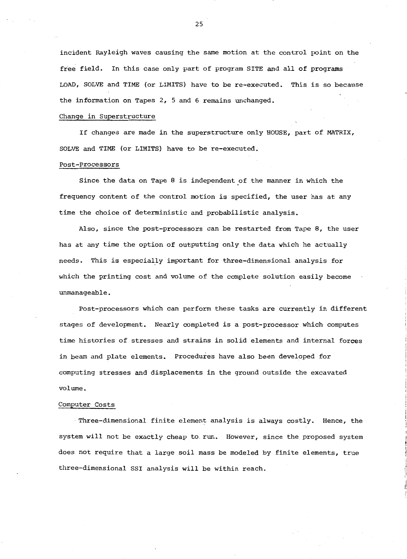incident Rayleigh waves causing the same motion at the control point on the free field. In this case only part of program SITE and all of programs LOAD, SOLVE and TIME (or LIMITS) have to be re-executed. This is so because the information on Tapes 2, 5 and 6 remains unchanged.

### Change in Superstructure

If changes are made in the superstructure only HOUSE, part of MATRIX, SOLVE and TIME (or LIMITS) have to be re-executed.

### Post-Processors

Since the data on Tape 8 is independent of the manner in which the frequency content of the control motion is specified, the user has at any time the choice of deterministic and probabilistic analysis.

Also, since the post-processors can be restarted from Tape 8, the user has at any time the option of outputting only the data which he actually needs. This is especially important for three-dimensional analysis for which the printing cost and volume of the complete solution easily become unmanageable.

Post-processors which can perform these tasks are currently in different stages of development. Nearly completed is a post-processor which computes time histories of stresses and strains in solid elements and internal forces in beam and plate elements. Procedures have also been developed for computing stresses and displacements in the ground outside the excavated volume.

### Computer Costs

·Three-dimensional finite element analysis is always costly. Hence, the system will not be exactly cheap to. run. However, since the proposed system does not require that a large soil mass be modeled by finite elements, true three-dimensional SSI analysis will be within reach.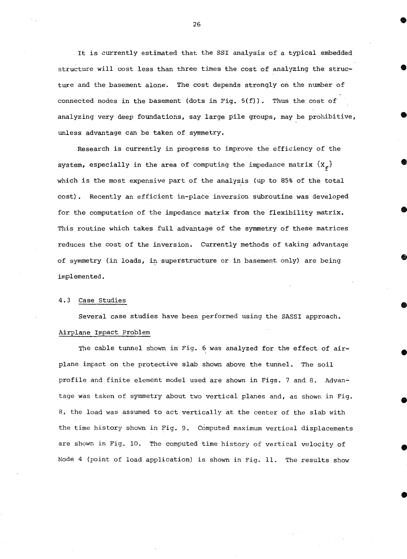It is currently estimated that the SSI analysis of a typical embedded structure will cost less than three times the cost of analyzing the structure and the basement alone. The cost depends strongly on the number of connected nodes in the basement (dots in Fig. S(f)). Thus the cost of analyzing very deep foundations, say large pile groups, may be prohibitive, unless advantage can be taken of symmetry.

Research is currently in progress to improve the efficiency of the system, especially in the area of computing the impedance matrix  $\{x_{\epsilon}\}\$ which is the most expensive part of the analysis (up to 85% of the total cost) • Recently an efficient in-place inversion subroutine was developed for the computation of the impedance matrix from the flexibility matrix. This routine which takes full advantage of the symmetry of these matrices reduces the cost of the inversion. Currently methods of taking advantage of symmetry (in loads, in superstructure or in basement only) are being implemented.

### 4.3 Case Studies

Several case studies have been performed using the SASSI approach.

### Airplane Impact Problem

The cable tunnel shown in Fig. 6 was analyzed for the effect of airplane impact on the protective slab shown above the tunnel. The soil profile and finite element model used are shown in Figs. 7 and 8. Advantage was taken of symmetry about two vertical planes and, as shown in Fig. 8, the load was assumed to act vertically at the center of the slab with the time history shown in Fig. 9. Computed maximum vertical displacements are shown in Fig. 10. The computed time history of vertical velocity of Node 4 (point of load application) is shown in Fig. 11. The results show

26

•

**•** 

**•** 

**•** 

**•** 

**•** 

**•** 

•

**•** 

 $\bullet$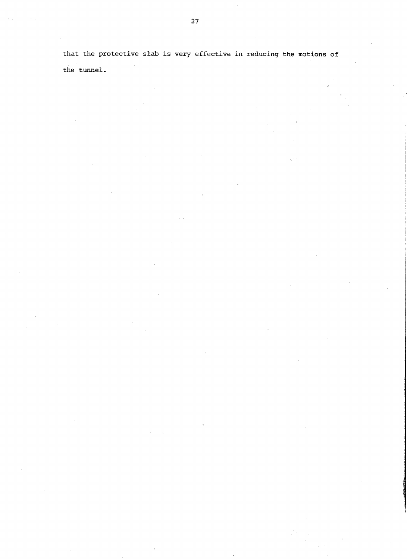that the protective slab is very effective in reducing the motions of the tunnel.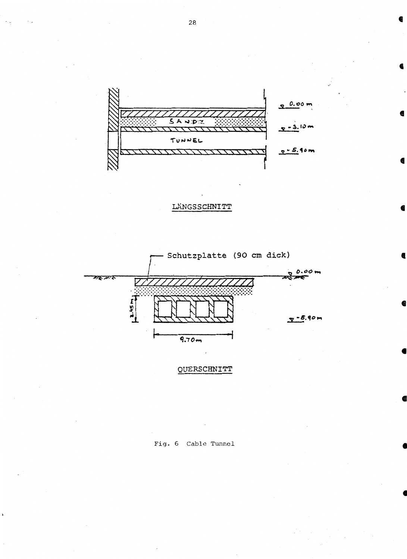

LÄNGSSCHNITT





### Fig. 6 Cable Tunnel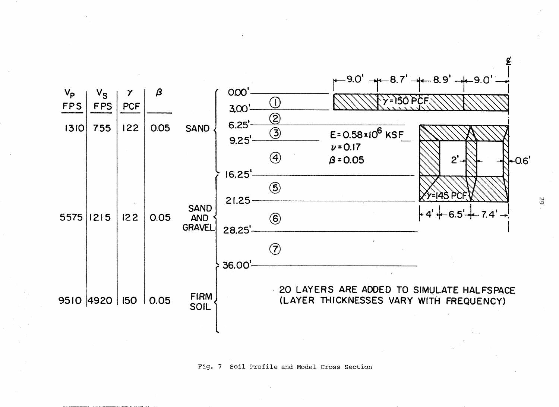

Fig. 7 Soil Profile and Model Cross Section